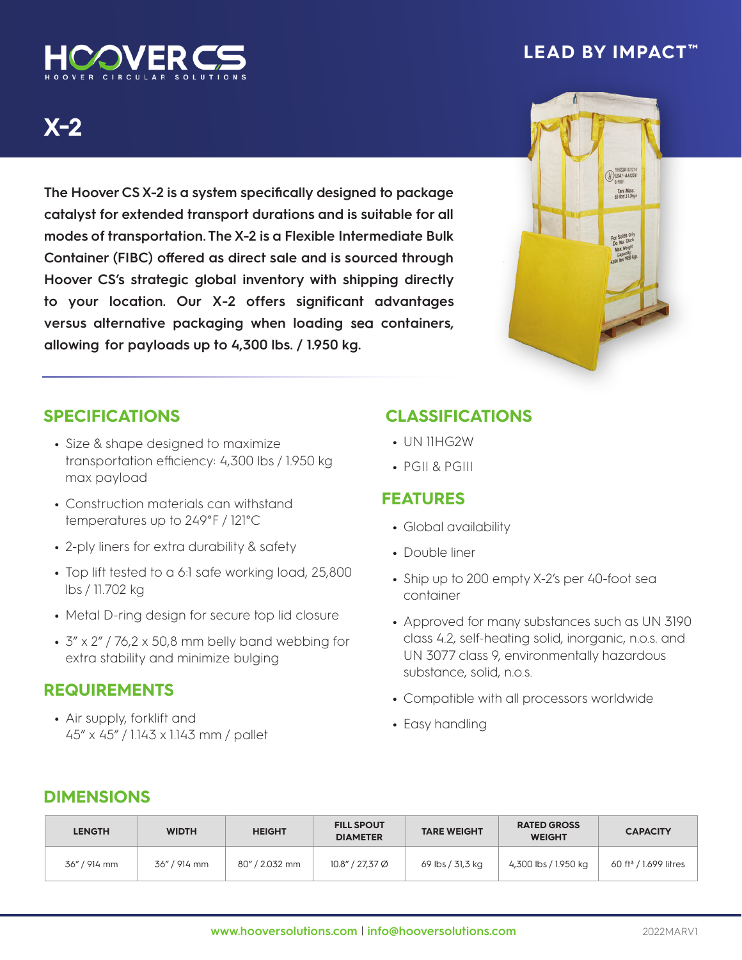

## **LEAD BY IMPACT ™**

# **X-2**

**The Hoover CSX-2 is a system specifically designed to package catalyst for extended transport durations and is suitable for all modes of transportation. The X-2 is a Flexible Intermediate Bulk Container (FIBC) offered as direct sale and is sourced through Hoover CS's strategic global inventory with shipping directly to your location. Our X-2 offers significant advantages versus alternative packaging when loading** sea **containers, allowing for payloads up to 4,300 lbs. / 1.950 kg.** 



## **SPECIFICATIONS**

- **•** Size & shape designed to maximize transportation efficiency: 4,300 lbs / 1.950 kg max payload
- **•** Construction materials can withstand temperatures up to 249°F / 121°C
- **•** 2-ply liners for extra durability & safety
- **•** Top lift tested to a 6:1 safe working load, 25,800 lbs / 11.702 kg
- **•** Metal D-ring design for secure top lid closure
- **•** 3" x 2" / 76,2 x 50,8 mm belly band webbing for extra stability and minimize bulging

#### **REQUIREMENTS**

**•** Air supply, forklift and 45" x 45" / 1.143 x 1.143 mm / pallet

## **CLASSIFICATIONS**

- **•** UN 11HG2W
- **•** PGII & PGIII

#### **FEATURES**

- **•** Global availability
- **•** Double liner
- **•** Ship up to 200 empty X-2's per 40-foot sea container
- **•** Approved for many substances such as UN 3190 class 4.2, self-heating solid, inorganic, n.o.s. and UN 3077 class 9, environmentally hazardous substance, solid, n.o.s.
- **•** Compatible with all processors worldwide
- **•** Easy handling

## **DIMENSIONS**

| <b>LENGTH</b> | <b>WIDTH</b> | <b>HEIGHT</b>  | <b>FILL SPOUT</b><br><b>DIAMETER</b> | <b>TARE WEIGHT</b> | <b>RATED GROSS</b><br><b>WEIGHT</b> | <b>CAPACITY</b>                   |
|---------------|--------------|----------------|--------------------------------------|--------------------|-------------------------------------|-----------------------------------|
| 36" / 914 mm  | 36" / 914 mm | 80" / 2.032 mm | 10.8" / 27,37 Ø                      | 69 lbs / 31,3 kg   | 4,300 lbs / 1.950 kg                | 60 ft <sup>3</sup> / 1.699 litres |